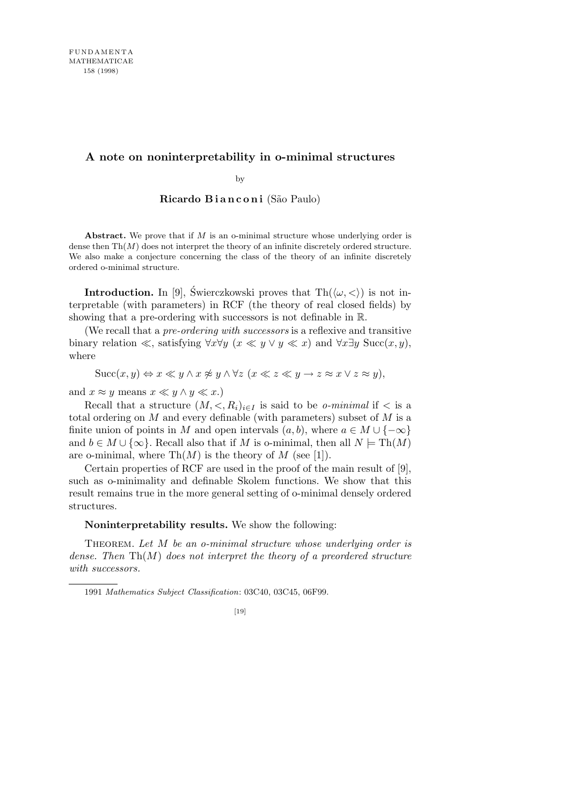## **A note on noninterpretability in o-minimal structures**

by

**Ricardo Bianconi** (São Paulo)

**Abstract.** We prove that if *M* is an o-minimal structure whose underlying order is dense then Th(*M*) does not interpret the theory of an infinite discretely ordered structure. We also make a conjecture concerning the class of the theory of an infinite discretely ordered o-minimal structure.

**Introduction.** In [9], Swierczkowski proves that  $\text{Th}(\langle \omega, \langle \rangle)$  is not interpretable (with parameters) in RCF (the theory of real closed fields) by showing that a pre-ordering with successors is not definable in R.

(We recall that a *pre-ordering with successors* is a reflexive and transitive binary relation  $\ll$ , satisfying  $\forall x \forall y \ (x \ll y \lor y \ll x)$  and  $\forall x \exists y \text{ Succ}(x, y)$ , where

 $Succ(x, y) \Leftrightarrow x \ll y \land x \not\approx y \land \forall z \ (x \ll z \ll y \rightarrow z \approx x \lor z \approx y)$ ,

and  $x \approx y$  means  $x \ll y \land y \ll x$ .)

Recall that a structure  $(M, \langle, R_i \rangle)_{i \in I}$  is said to be *o-minimal* if  $\langle$  is a total ordering on *M* and every definable (with parameters) subset of *M* is a finite union of points in *M* and open intervals  $(a, b)$ , where  $a \in M \cup \{-\infty\}$ and  $b \in M \cup \{\infty\}$ . Recall also that if *M* is o-minimal, then all  $N = Th(M)$ are o-minimal, where  $\text{Th}(M)$  is the theory of M (see [1]).

Certain properties of RCF are used in the proof of the main result of [9], such as o-minimality and definable Skolem functions. We show that this result remains true in the more general setting of o-minimal densely ordered structures.

## **Noninterpretability results.** We show the following:

Theorem. *Let M be an o-minimal structure whose underlying order is dense. Then* Th(*M*) *does not interpret the theory of a preordered structure with successors.*

1991 *Mathematics Subject Classification*: 03C40, 03C45, 06F99.

<sup>[19]</sup>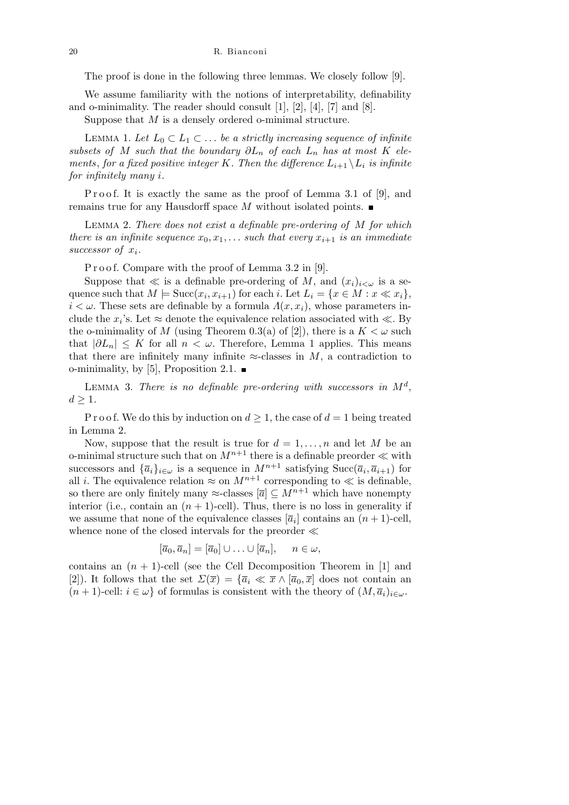20 R. Bianconi

The proof is done in the following three lemmas. We closely follow [9].

We assume familiarity with the notions of interpretability, definability and o-minimality. The reader should consult [1], [2], [4], [7] and [8].

Suppose that *M* is a densely ordered o-minimal structure.

LEMMA 1. Let  $L_0 ⊂ L_1 ⊂ \ldots$  be a strictly increasing sequence of infinite *subsets of M such that the boundary*  $\partial L_n$  *of each*  $L_n$  *has at most*  $K$  *elements, for a fixed positive integer K. Then the difference*  $L_{i+1} \setminus L_i$  *is infinite for infinitely many i.*

Proof. It is exactly the same as the proof of Lemma 3.1 of [9], and remains true for any Hausdorff space *M* without isolated points.

Lemma 2. *There does not exist a definable pre-ordering of M for which there is an infinite sequence*  $x_0, x_1, \ldots$  *such that every*  $x_{i+1}$  *is an immediate successor of x<sup>i</sup> .*

P r o o f. Compare with the proof of Lemma 3.2 in [9].

Suppose that  $\ll$  is a definable pre-ordering of *M*, and  $(x_i)_{i\lt\omega}$  is a sequence such that  $M \models \text{Succ}(x_i, x_{i+1})$  for each *i*. Let  $L_i = \{x \in M : x \ll x_i\},$  $i < \omega$ . These sets are definable by a formula  $\Lambda(x, x_i)$ , whose parameters include the  $x_i$ 's. Let  $\approx$  denote the equivalence relation associated with  $\ll$ . By the o-minimality of *M* (using Theorem 0.3(a) of [2]), there is a  $K < \omega$  such that  $|\partial L_n| \leq K$  for all  $n < \omega$ . Therefore, Lemma 1 applies. This means that there are infinitely many infinite  $\approx$ -classes in *M*, a contradiction to o-minimality, by [5], Proposition 2.1.  $\blacksquare$ 

LEMMA 3. There is no definable pre-ordering with successors in  $M^d$ ,  $d$  ≥ 1*.* 

P r o o f. We do this by induction on  $d \geq 1$ , the case of  $d = 1$  being treated in Lemma 2.

Now, suppose that the result is true for  $d = 1, \ldots, n$  and let M be an o-minimal structure such that on  $M^{n+1}$  there is a definable preorder  $\ll$  with successors and  ${\{\overline{a}_i\}}_{i \in \omega}$  is a sequence in  $M^{n+1}$  satisfying  $Succ(\overline{a}_i, \overline{a}_{i+1})$  for all *i*. The equivalence relation  $\approx$  on  $M^{n+1}$  corresponding to  $\ll$  is definable, so there are only finitely many  $\approx$ -classes  $[\overline{a}] \subseteq M^{n+1}$  which have nonempty interior (i.e., contain an  $(n + 1)$ -cell). Thus, there is no loss in generality if we assume that none of the equivalence classes  $[\bar{a}_i]$  contains an  $(n+1)$ -cell, whence none of the closed intervals for the preorder  $\ll$ 

$$
[\overline{a}_0, \overline{a}_n] = [\overline{a}_0] \cup \ldots \cup [\overline{a}_n], \quad n \in \omega,
$$

contains an  $(n + 1)$ -cell (see the Cell Decomposition Theorem in [1] and [2]). It follows that the set  $\Sigma(\bar{x}) = {\bar{a}_i \ll \bar{x} \wedge [\bar{a}_0, \bar{x}] \text{ does not contain an}}$  $(n+1)$ -cell:  $i \in \omega$  of formulas is consistent with the theory of  $(M, \overline{a}_i)_{i \in \omega}$ .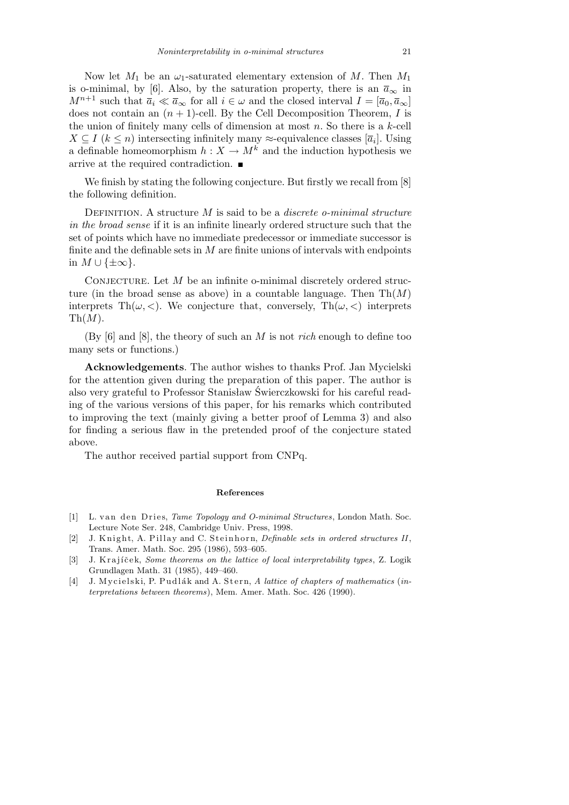Now let  $M_1$  be an  $\omega_1$ -saturated elementary extension of  $M$ . Then  $M_1$ is o-minimal, by [6]. Also, by the saturation property, there is an  $\bar{a}_{\infty}$  in *M*<sup>*n*+1</sup> such that  $\bar{a}_i \ll \bar{a}_\infty$  for all  $i \in \omega$  and the closed interval  $I = [\bar{a}_0, \bar{a}_\infty]$ does not contain an  $(n + 1)$ -cell. By the Cell Decomposition Theorem, *I* is the union of finitely many cells of dimension at most *n*. So there is a *k*-cell  $X \subseteq I$  ( $k \leq n$ ) intersecting infinitely many  $\approx$ -equivalence classes [ $\overline{a}_i$ ]. Using a definable homeomorphism  $h: X \to M^k$  and the induction hypothesis we arrive at the required contradiction.

We finish by stating the following conjecture. But firstly we recall from [8] the following definition.

Definition. A structure *M* is said to be a *discrete o-minimal structure in the broad sense* if it is an infinite linearly ordered structure such that the set of points which have no immediate predecessor or immediate successor is finite and the definable sets in *M* are finite unions of intervals with endpoints in *M ∪ {±∞}*.

CONJECTURE. Let M be an infinite o-minimal discretely ordered structure (in the broad sense as above) in a countable language. Then  $\text{Th}(M)$ interprets Th $(\omega, <)$ . We conjecture that, conversely, Th $(\omega, <)$  interprets  $\mathrm{Th}(M)$ .

(By [6] and [8], the theory of such an *M* is not *rich* enough to define too many sets or functions.)

**Acknowledgements**. The author wishes to thanks Prof. Jan Mycielski for the attention given during the preparation of this paper. The author is also very grateful to Professor Stanisław Świerczkowski for his careful reading of the various versions of this paper, for his remarks which contributed to improving the text (mainly giving a better proof of Lemma 3) and also for finding a serious flaw in the pretended proof of the conjecture stated above.

The author received partial support from CNPq.

## **References**

- [1] L. van den Dries, *Tame Topology and O-minimal Structures*, London Math. Soc. Lecture Note Ser. 248, Cambridge Univ. Press, 1998.
- [2] J. Knight, A. Pillay and C. Steinhorn, *Definable sets in ordered structures II*, Trans. Amer. Math. Soc. 295 (1986), 593–605.
- [3] J. Krajíček, *Some theorems on the lattice of local interpretability types*, Z. Logik Grundlagen Math. 31 (1985), 449–460.
- [4] J. M y cielski, P. Pudlák and A. Stern, A lattice of chapters of mathematics (*interpretations between theorems*), Mem. Amer. Math. Soc. 426 (1990).